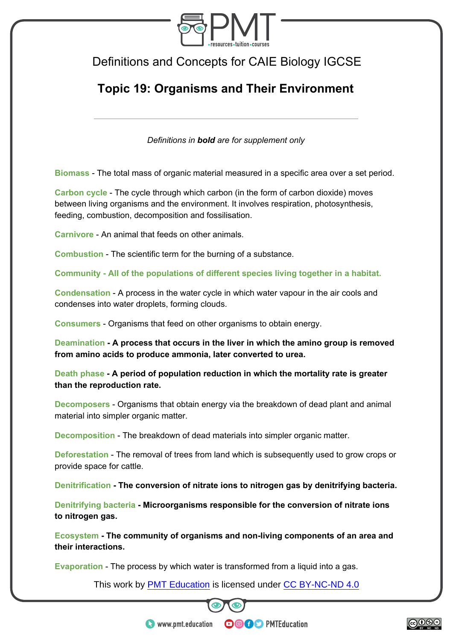

## Definitions and Concepts for CAIE Biology IGCSE

## **Topic 19: Organisms and Their Environment**

*Definitions in bold are for supplement only* 

**Biomass** - The total mass of organic material measured in a specific area over a set period.

**Carbon cycle** - The cycle through which carbon (in the form of carbon dioxide) moves between living organisms and the environment. It involves respiration, photosynthesis, feeding, combustion, decomposition and fossilisation.

**Carnivore** - An animal that feeds on other animals.

**Combustion** - The scientific term for the burning of a substance.

**Community - All of the populations of different species living together in a habitat.** 

**Condensation** - A process in the water cycle in which water vapour in the air cools and condenses into water droplets, forming clouds.

**Consumers** - Organisms that feed on other organisms to obtain energy.

**Deamination - A process that occurs in the liver in which the amino group is removed from amino acids to produce ammonia, later converted to urea.** 

**Death phase - A period of population reduction in which the mortality rate is greater than the reproduction rate.** 

**Decomposers** - Organisms that obtain energy via the breakdown of dead plant and animal material into simpler organic matter.

**Decomposition** - The breakdown of dead materials into simpler organic matter.

**Deforestation** - The removal of trees from land which is subsequently used to grow crops or provide space for cattle.

**Denitrification - The conversion of nitrate ions to nitrogen gas by denitrifying bacteria.** 

**Denitrifying bacteria - Microorganisms responsible for the conversion of nitrate ions to nitrogen gas.** 

**Ecosystem - The community of organisms and non-living components of an area and their interactions.** 

**Evaporation** - The process by which water is transformed from a liquid into a gas.

This work by **PMT Education** is licensed under CC BY-NC-ND 4.0



**OOOO** PMTEducation



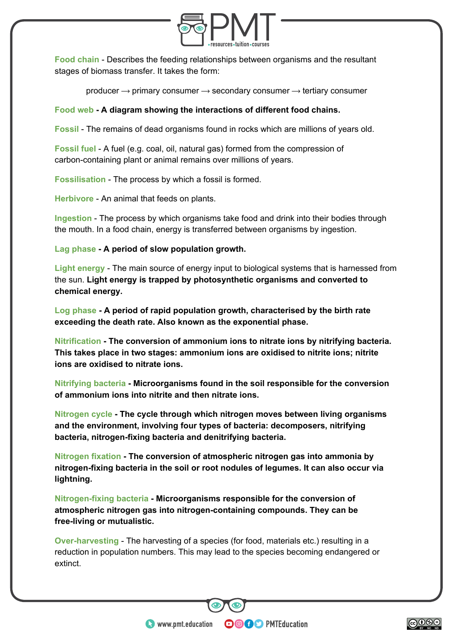

**Food chain** - Describes the feeding relationships between organisms and the resultant stages of biomass transfer. It takes the form:

producer  $\rightarrow$  primary consumer  $\rightarrow$  secondary consumer  $\rightarrow$  tertiary consumer

## **Food web - A diagram showing the interactions of different food chains.**

**Fossil** - The remains of dead organisms found in rocks which are millions of years old.

**Fossil fuel** - A fuel (e.g. coal, oil, natural gas) formed from the compression of carbon-containing plant or animal remains over millions of years.

**Fossilisation** - The process by which a fossil is formed.

**Herbivore** - An animal that feeds on plants.

**Ingestion** - The process by which organisms take food and drink into their bodies through the mouth. In a food chain, energy is transferred between organisms by ingestion.

**Lag phase - A period of slow population growth.** 

**Light energy** - The main source of energy input to biological systems that is harnessed from the sun. **Light energy is trapped by photosynthetic organisms and converted to chemical energy.** 

**Log phase - A period of rapid population growth, characterised by the birth rate exceeding the death rate. Also known as the exponential phase.** 

**Nitrification - The conversion of ammonium ions to nitrate ions by nitrifying bacteria. This takes place in two stages: ammonium ions are oxidised to nitrite ions; nitrite ions are oxidised to nitrate ions.** 

**Nitrifying bacteria - Microorganisms found in the soil responsible for the conversion of ammonium ions into nitrite and then nitrate ions.** 

**Nitrogen cycle - The cycle through which nitrogen moves between living organisms and the environment, involving four types of bacteria: decomposers, nitrifying bacteria, nitrogen-fixing bacteria and denitrifying bacteria.** 

**Nitrogen fixation - The conversion of atmospheric nitrogen gas into ammonia by nitrogen-fixing bacteria in the soil or root nodules of legumes. It can also occur via lightning.** 

**Nitrogen-fixing bacteria - Microorganisms responsible for the conversion of atmospheric nitrogen gas into nitrogen-containing compounds. They can be free-living or mutualistic.** 

**Over-harvesting** - The harvesting of a species (for food, materials etc.) resulting in a reduction in population numbers. This may lead to the species becoming endangered or extinct.

**OOOO** PMTEducation

 $\bullet$  www.pmt.education